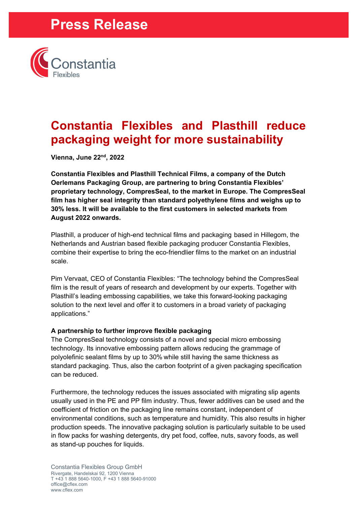# **Press Release**



### **Constantia Flexibles and Plasthill reduce packaging weight for more sustainability**

**Vienna, June 22nd, 2022**

**Constantia Flexibles and Plasthill Technical Films, a company of the Dutch Oerlemans Packaging Group, are partnering to bring Constantia Flexibles' proprietary technology, CompresSeal, to the market in Europe. The CompresSeal film has higher seal integrity than standard polyethylene films and weighs up to 30% less. It will be available to the first customers in selected markets from August 2022 onwards.**

Plasthill, a producer of high-end technical films and packaging based in Hillegom, the Netherlands and Austrian based flexible packaging producer Constantia Flexibles, combine their expertise to bring the eco-friendlier films to the market on an industrial scale.

Pim Vervaat, CEO of Constantia Flexibles: "The technology behind the CompresSeal film is the result of years of research and development by our experts. Together with Plasthill's leading embossing capabilities, we take this forward-looking packaging solution to the next level and offer it to customers in a broad variety of packaging applications."

### **A partnership to further improve flexible packaging**

The CompresSeal technology consists of a novel and special micro embossing technology. Its innovative embossing pattern allows reducing the grammage of polyolefinic sealant films by up to 30% while still having the same thickness as standard packaging. Thus, also the carbon footprint of a given packaging specification can be reduced.

Furthermore, the technology reduces the issues associated with migrating slip agents usually used in the PE and PP film industry. Thus, fewer additives can be used and the coefficient of friction on the packaging line remains constant, independent of environmental conditions, such as temperature and humidity. This also results in higher production speeds. The innovative packaging solution is particularly suitable to be used in flow packs for washing detergents, dry pet food, coffee, nuts, savory foods, as well as stand-up pouches for liquids.